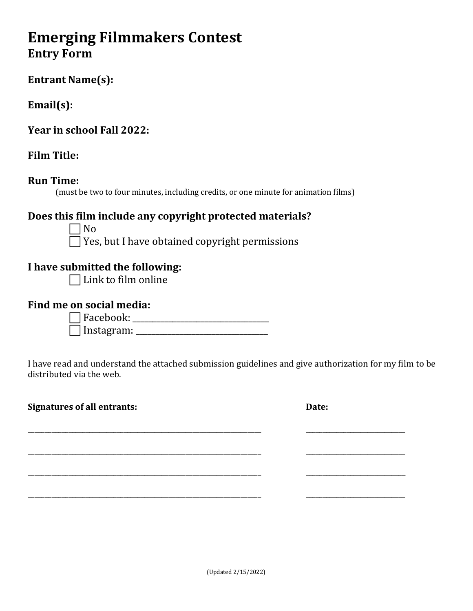# **Emerging Filmmakers Contest Entry Form**

## **Entrant Name(s):**

## **Email(s):**

**Year in school Fall 2022:**

## **Film Title:**

### **Run Time:**

(must be two to four minutes, including credits, or one minute for animation films)

## **Does this film include any copyright protected materials?**

 No  $\Box$  Yes, but I have obtained copyright permissions

## **I have submitted the following:**

 $\Box$  Link to film online

### **Find me on social media:**

 Facebook: \_\_\_\_\_\_\_\_\_\_\_\_\_\_\_\_\_\_\_\_\_\_\_\_\_\_\_\_\_\_\_\_\_\_ Instagram: \_\_\_\_\_\_\_\_\_\_\_\_\_\_\_\_\_\_\_\_\_\_\_\_\_\_\_\_\_\_\_\_\_

I have read and understand the attached submission guidelines and give authorization for my film to be distributed via the web.

\_\_\_\_\_\_\_\_\_\_\_\_\_\_\_\_\_\_\_\_\_\_\_\_\_\_\_\_\_\_\_\_\_\_\_\_\_\_\_\_\_\_\_\_\_\_\_\_\_\_\_\_\_\_\_\_\_\_\_\_\_\_\_\_\_\_\_\_ \_\_\_\_\_\_\_\_\_\_\_\_\_\_\_\_\_\_\_\_\_\_\_\_\_\_\_\_\_

\_\_\_\_\_\_\_\_\_\_\_\_\_\_\_\_\_\_\_\_\_\_\_\_\_\_\_\_\_\_\_\_\_\_\_\_\_\_\_\_\_\_\_\_\_\_\_\_\_\_\_\_\_\_\_\_\_\_\_\_\_\_\_\_\_\_\_\_ \_\_\_\_\_\_\_\_\_\_\_\_\_\_\_\_\_\_\_\_\_\_\_\_\_\_\_\_\_

\_\_\_\_\_\_\_\_\_\_\_\_\_\_\_\_\_\_\_\_\_\_\_\_\_\_\_\_\_\_\_\_\_\_\_\_\_\_\_\_\_\_\_\_\_\_\_\_\_\_\_\_\_\_\_\_\_\_\_\_\_\_\_\_\_\_\_\_ \_\_\_\_\_\_\_\_\_\_\_\_\_\_\_\_\_\_\_\_\_\_\_\_\_\_\_\_\_

\_\_\_\_\_\_\_\_\_\_\_\_\_\_\_\_\_\_\_\_\_\_\_\_\_\_\_\_\_\_\_\_\_\_\_\_\_\_\_\_\_\_\_\_\_\_\_\_\_\_\_\_\_\_\_\_\_\_\_\_\_\_\_\_\_\_\_\_ \_\_\_\_\_\_\_\_\_\_\_\_\_\_\_\_\_\_\_\_\_\_\_\_\_\_\_\_\_

**Signatures of all entrants:** Date: